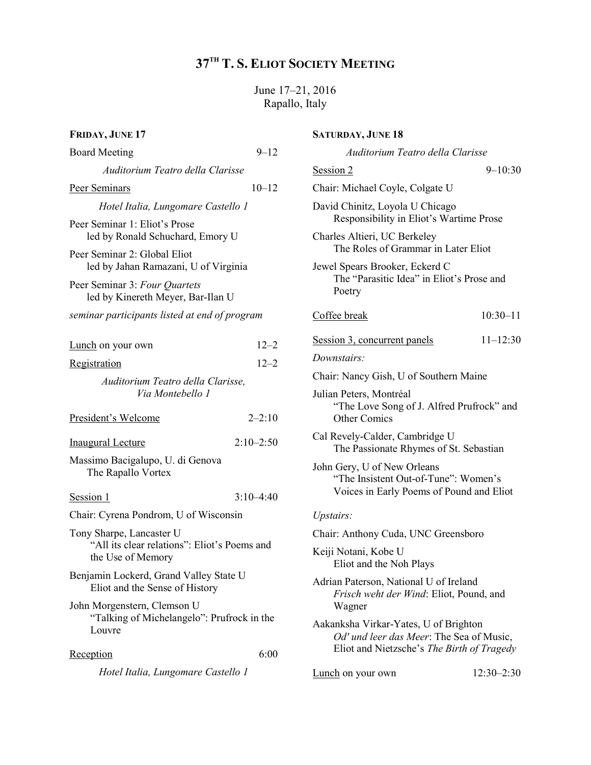# 37TH T. S. ELIOT SOCIETY MEETING

June 17–21, 2016 Rapallo, Italy

| FRIDAY, JUNE 17                                                                                                                                                                 |               | <b>SATURDAY, JUNE 18</b>                                                                                                                          |                |
|---------------------------------------------------------------------------------------------------------------------------------------------------------------------------------|---------------|---------------------------------------------------------------------------------------------------------------------------------------------------|----------------|
| <b>Board Meeting</b>                                                                                                                                                            | $9 - 12$      | Auditorium Teatro della Clarisse                                                                                                                  |                |
| Auditorium Teatro della Clarisse                                                                                                                                                |               | Session 2                                                                                                                                         | $9 - 10:30$    |
| Peer Seminars                                                                                                                                                                   | $10 - 12$     | Chair: Michael Coyle, Colgate U                                                                                                                   |                |
| Hotel Italia, Lungomare Castello 1<br>Peer Seminar 1: Eliot's Prose<br>led by Ronald Schuchard, Emory U<br>Peer Seminar 2: Global Eliot<br>led by Jahan Ramazani, U of Virginia |               | David Chinitz, Loyola U Chicago<br>Responsibility in Eliot's Wartime Prose<br>Charles Altieri, UC Berkeley<br>The Roles of Grammar in Later Eliot |                |
|                                                                                                                                                                                 |               |                                                                                                                                                   |                |
|                                                                                                                                                                                 |               | Peer Seminar 3: Four Quartets<br>led by Kinereth Meyer, Bar-Ilan U                                                                                |                |
| seminar participants listed at end of program                                                                                                                                   |               | Coffee break                                                                                                                                      | $10:30 - 11$   |
| Lunch on your own                                                                                                                                                               | $12 - 2$      | Session 3, concurrent panels                                                                                                                      | $11 - 12:30$   |
| Registration                                                                                                                                                                    | $12 - 2$      | Downstairs:                                                                                                                                       |                |
| Auditorium Teatro della Clarisse,                                                                                                                                               |               | Chair: Nancy Gish, U of Southern Maine                                                                                                            |                |
| Via Montebello 1<br>President's Welcome                                                                                                                                         | $2 - 2:10$    | Julian Peters, Montréal<br>"The Love Song of J. Alfred Prufrock" and<br><b>Other Comics</b>                                                       |                |
| <b>Inaugural Lecture</b>                                                                                                                                                        | $2:10 - 2:50$ | Cal Revely-Calder, Cambridge U<br>The Passionate Rhymes of St. Sebastian                                                                          |                |
| Massimo Bacigalupo, U. di Genova<br>The Rapallo Vortex                                                                                                                          |               | John Gery, U of New Orleans<br>"The Insistent Out-of-Tune": Women's                                                                               |                |
| Session 1                                                                                                                                                                       | $3:10-4:40$   | Voices in Early Poems of Pound and Eliot                                                                                                          |                |
| Chair: Cyrena Pondrom, U of Wisconsin                                                                                                                                           |               | Upstairs:                                                                                                                                         |                |
| Tony Sharpe, Lancaster U                                                                                                                                                        |               | Chair: Anthony Cuda, UNC Greensboro                                                                                                               |                |
| "All its clear relations": Eliot's Poems and<br>the Use of Memory                                                                                                               |               | Keiji Notani, Kobe U<br>Eliot and the Noh Plays                                                                                                   |                |
| Benjamin Lockerd, Grand Valley State U<br>Eliot and the Sense of History                                                                                                        |               | Adrian Paterson, National U of Ireland<br>Frisch weht der Wind: Eliot, Pound, and<br>Wagner                                                       |                |
| John Morgenstern, Clemson U<br>"Talking of Michelangelo": Prufrock in the<br>Louvre                                                                                             |               |                                                                                                                                                   |                |
|                                                                                                                                                                                 |               | Aakanksha Virkar-Yates, U of Brighton<br>Od' und leer das Meer: The Sea of Music,                                                                 |                |
| Reception                                                                                                                                                                       | 6:00          | Eliot and Nietzsche's The Birth of Tragedy                                                                                                        |                |
| Hotel Italia, Lungomare Castello 1                                                                                                                                              |               | Lunch on your own                                                                                                                                 | $12:30 - 2:30$ |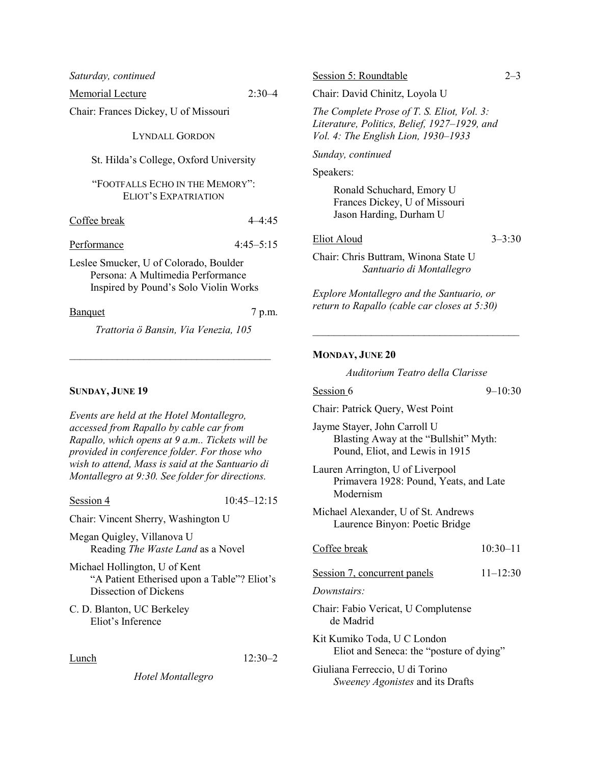| Saturday, continued                                                                                                  |               |  |  |
|----------------------------------------------------------------------------------------------------------------------|---------------|--|--|
| Memorial Lecture                                                                                                     | $2:30-4$      |  |  |
| Chair: Frances Dickey, U of Missouri                                                                                 |               |  |  |
| <b>LYNDALL GORDON</b>                                                                                                |               |  |  |
| St. Hilda's College, Oxford University                                                                               |               |  |  |
| "FOOTFALLS ECHO IN THE MEMORY":<br><b>ELIOT'S EXPATRIATION</b>                                                       |               |  |  |
| Coffee break                                                                                                         | $4 - 4:45$    |  |  |
| Performance                                                                                                          | $4:45 - 5:15$ |  |  |
| Leslee Smucker, U of Colorado, Boulder<br>Persona: A Multimedia Performance<br>Inspired by Pound's Solo Violin Works |               |  |  |
| <b>Banquet</b>                                                                                                       | 7 p.m.        |  |  |
| Trattoria ö Bansin, Via Venezia, 105                                                                                 |               |  |  |
|                                                                                                                      |               |  |  |
| SHNDAV JHNE 19                                                                                                       |               |  |  |

# SUNDAY, JUNE 19

Events are held at the Hotel Montallegro, accessed from Rapallo by cable car from Rapallo, which opens at 9 a.m.. Tickets will be provided in conference folder. For those who wish to attend, Mass is said at the Santuario di Montallegro at 9:30. See folder for directions.

Session 4 10:45–12:15

Chair: Vincent Sherry, Washington U

Megan Quigley, Villanova U Reading The Waste Land as a Novel

Michael Hollington, U of Kent "A Patient Etherised upon a Table"? Eliot's Dissection of Dickens

C. D. Blanton, UC Berkeley Eliot's Inference

Lunch

Hotel Montallegro

| Session 5: Roundtable                                                                                                             |            |
|-----------------------------------------------------------------------------------------------------------------------------------|------------|
| Chair: David Chinitz, Loyola U                                                                                                    |            |
| The Complete Prose of T. S. Eliot, Vol. 3:<br>Literature, Politics, Belief, 1927–1929, and<br>Vol. 4: The English Lion, 1930–1933 |            |
| Sunday, continued                                                                                                                 |            |
| Speakers:                                                                                                                         |            |
| Ronald Schuchard, Emory U<br>Frances Dickey, U of Missouri<br>Jason Harding, Durham U                                             |            |
| Eliot Aloud                                                                                                                       | $3 - 3:30$ |
| Chair: Chris Buttram, Winona State U<br>Santuario di Montallegro                                                                  |            |
| <i>Explore Montallegro and the Santuario, or</i><br>return to Rapallo (cable car closes at 5:30)                                  |            |

# MONDAY, JUNE 20

Auditorium Teatro della Clarisse

 $\mathcal{L}_\text{max}$ 

| Session 6                                                                                                | $9 - 10:30$  |  |
|----------------------------------------------------------------------------------------------------------|--------------|--|
| Chair: Patrick Query, West Point                                                                         |              |  |
| Jayme Stayer, John Carroll U<br>Blasting Away at the "Bullshit" Myth:<br>Pound, Eliot, and Lewis in 1915 |              |  |
| Lauren Arrington, U of Liverpool<br>Primavera 1928: Pound, Yeats, and Late<br>Modernism                  |              |  |
| Michael Alexander, U of St. Andrews<br>Laurence Binyon: Poetic Bridge                                    |              |  |
| Coffee break                                                                                             | $10:30 - 11$ |  |
| Session 7, concurrent panels                                                                             | $11 - 12:30$ |  |
| Downstairs:                                                                                              |              |  |
| Chair: Fabio Vericat, U Complutense<br>de Madrid                                                         |              |  |
| Kit Kumiko Toda, U C London<br>Eliot and Seneca: the "posture of dying"                                  |              |  |

| Giuliana Ferreccio, U di Torino  |
|----------------------------------|
| Sweeney Agonistes and its Drafts |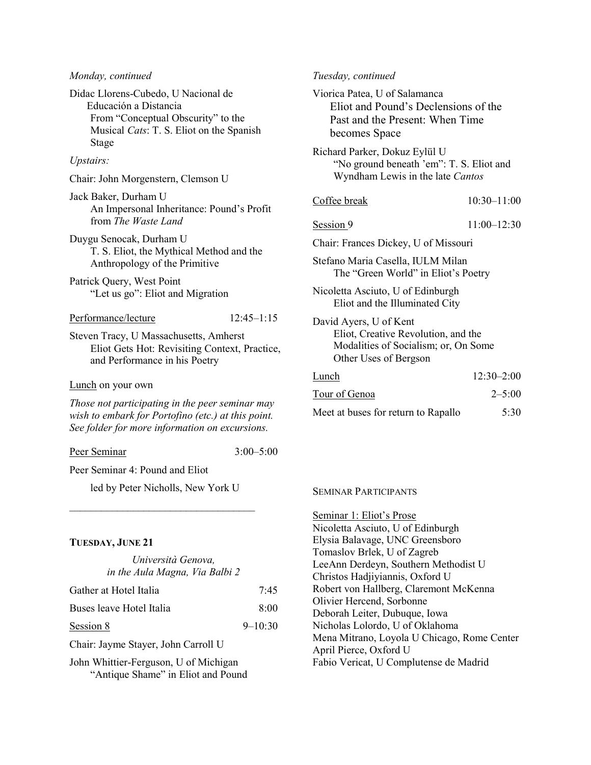#### Monday, continued

Didac Llorens-Cubedo, U Nacional de Educación a Distancia From "Conceptual Obscurity" to the Musical Cats: T. S. Eliot on the Spanish Stage

# Upstairs:

Chair: John Morgenstern, Clemson U

- Jack Baker, Durham U An Impersonal Inheritance: Pound's Profit from The Waste Land
- Duygu Senocak, Durham U T. S. Eliot, the Mythical Method and the Anthropology of the Primitive
- Patrick Query, West Point "Let us go": Eliot and Migration

# Performance/lecture 12:45–1:15

Steven Tracy, U Massachusetts, Amherst Eliot Gets Hot: Revisiting Context, Practice, and Performance in his Poetry

#### Lunch on your own

Those not participating in the peer seminar may wish to embark for Portofino (etc.) at this point. See folder for more information on excursions.

Peer Seminar 3:00–5:00

Peer Seminar 4: Pound and Eliot

led by Peter Nicholls, New York U  $\mathcal{L}_\text{max}$  , where  $\mathcal{L}_\text{max}$  and  $\mathcal{L}_\text{max}$  and  $\mathcal{L}_\text{max}$ 

# TUESDAY, JUNE 21

| Università Genova,             |             |  |  |
|--------------------------------|-------------|--|--|
| in the Aula Magna, Via Balbi 2 |             |  |  |
| Gather at Hotel Italia         | 7:45        |  |  |
| Buses leave Hotel Italia       | 8:00        |  |  |
| Session 8                      | $9 - 10:30$ |  |  |
|                                |             |  |  |

Chair: Jayme Stayer, John Carroll U

John Whittier-Ferguson, U of Michigan "Antique Shame" in Eliot and Pound

#### Tuesday, continued

| Viorica Patea, U of Salamanca<br>Eliot and Pound's Declensions of the<br>Past and the Present: When Time<br>becomes Space      |                 |  |
|--------------------------------------------------------------------------------------------------------------------------------|-----------------|--|
| Richard Parker, Dokuz Eylül U<br>"No ground beneath 'em": T. S. Eliot and<br>Wyndham Lewis in the late Cantos                  |                 |  |
| Coffee break                                                                                                                   | $10:30 - 11:00$ |  |
| Session 9                                                                                                                      | $11:00 - 12:30$ |  |
| Chair: Frances Dickey, U of Missouri                                                                                           |                 |  |
| Stefano Maria Casella, IULM Milan<br>The "Green World" in Eliot's Poetry                                                       |                 |  |
| Nicoletta Asciuto, U of Edinburgh<br>Eliot and the Illuminated City                                                            |                 |  |
| David Ayers, U of Kent<br>Eliot, Creative Revolution, and the<br>Modalities of Socialism; or, On Some<br>Other Uses of Bergson |                 |  |
| Lunch                                                                                                                          | $12:30 - 2:00$  |  |
| Tour of Genoa                                                                                                                  | $2 - 5:00$      |  |
| Meet at buses for return to Rapallo                                                                                            | 5:30            |  |

#### SEMINAR PARTICIPANTS

Seminar 1: Eliot's Prose Nicoletta Asciuto, U of Edinburgh Elysia Balavage, UNC Greensboro Tomaslov Brlek, U of Zagreb LeeAnn Derdeyn, Southern Methodist U Christos Hadjiyiannis, Oxford U Robert von Hallberg, Claremont McKenna Olivier Hercend, Sorbonne Deborah Leiter, Dubuque, Iowa Nicholas Lolordo, U of Oklahoma Mena Mitrano, Loyola U Chicago, Rome Center April Pierce, Oxford U Fabio Vericat, U Complutense de Madrid